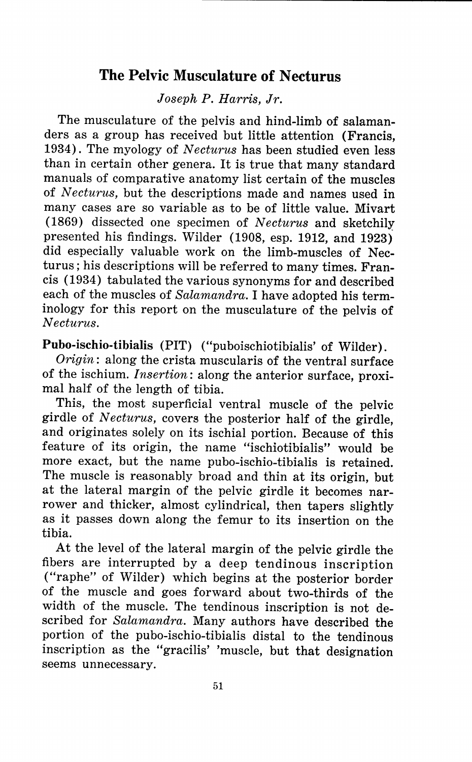# **The Pelvic Musculature of Necturus**

*Joseph P. Harris, Jr.* 

The musculature of the pelvis and hind-limb of salamanders as a group has received but little attention (Francis, 1934). The myology of *Necturus* has been studied even less than in certain other genera. It is true that many standard manuals of comparative anatomy list certain of the muscles of *Necturus,* but the descriptions made and names used in many cases are so variable as to be of little value. Mivart (1869) dissected one specimen of *Necturus* and sketchili presented his findings. Wilder (1908, esp. 1912, and 1923) did especially valuable work on the limb-muscles of Necturus; his descriptions will be referred to many times. Francis (1934) tabulated the various synonyms for and described each of the muscles of *Salamandra.* I have adopted his terminology for this report on the musculature of the pelvis of *Necturus.* 

**Pubo-ischio-tibialis** (PIT) ("puboischiotibialis' of Wilder).

*Origin:* along the crista muscularis of the ventral surface of the ischium. *Insertion:* along the anterior surface, proximal half of the length of tibia.

This, the most superficial ventral muscle of the pelvic girdle of *Necturus*, covers the posterior half of the girdle, and originates solely on its ischial portion. Because of this feature of its origin, the name "ischiotibialis" would be more exact, but the name pubo-ischio-tibialis is retained. The muscle is reasonably broad and thin at its origin, but at the lateral margin of the pelvic girdle it becomes narrower and thicker, almost cylindrical, then tapers slightly as it passes down along the femur to its insertion on the tibia.

At the level of the lateral margin of the pelvic girdle the fibers are interrupted by a deep tendinous inscription ("raphe" of Wilder) which begins at the posterior border of the muscle and goes forward about two-thirds of the width of the muscle. The tendinous inscription is not described for *Salamandra.* Many authors have described the portion of the pubo-ischio-tibialis distal to the tendinous inscription as the "gracilis' 'muscle, but that designation seems unnecessary.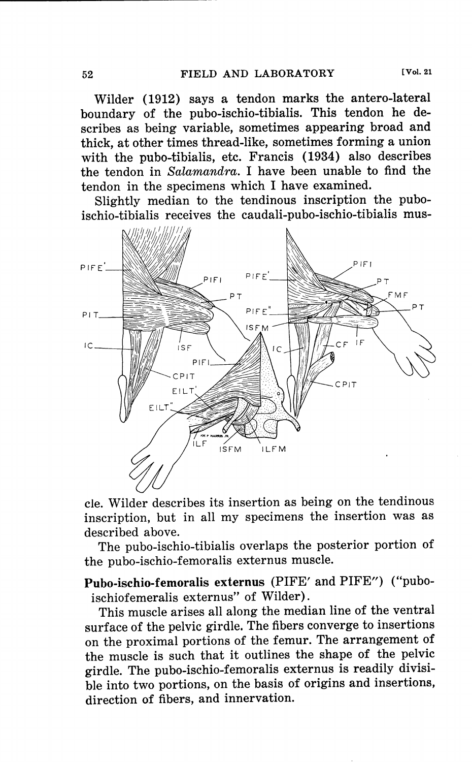Wilder (1912) says a tendon marks the antero-lateral boundary of the pubo-ischio-tibialis. This tendon he describes as being variable, sometimes appearing broad and thick, at other times thread-like, sometimes forming a union with the pubo-tibialis, etc. Francis (1934) also describes the tendon in *Salamandra.* I have been unable to find the tendon in the specimens which I have examined.

Slightly median to the tendinous inscription the puboischio-tibialis receives the caudali-pubo-ischio-tibialis mus-



cle. Wilder describes its insertion as being on the tendinous inscription, but in all my specimens the insertion was as described above.

The pubo-ischio-tibialis overlaps the posterior portion of the pubo-ischio-femoralis externus muscle.

**Pubo-ischio-femoralis externus** (PIFE' and PIFE") ("puboischiofemeralis externus" of Wilder).

This muscle arises all along the median line of the ventral surface of the pelvic girdle. The fibers converge to insertions on the proximal portions of the femur. The arrangement of the muscle is such that it outlines the shape of the pelvic girdle. The pubo-ischio-femoralis externus is readily divisible into two portions, on the basis of origins and insertions, direction of fibers, and innervation.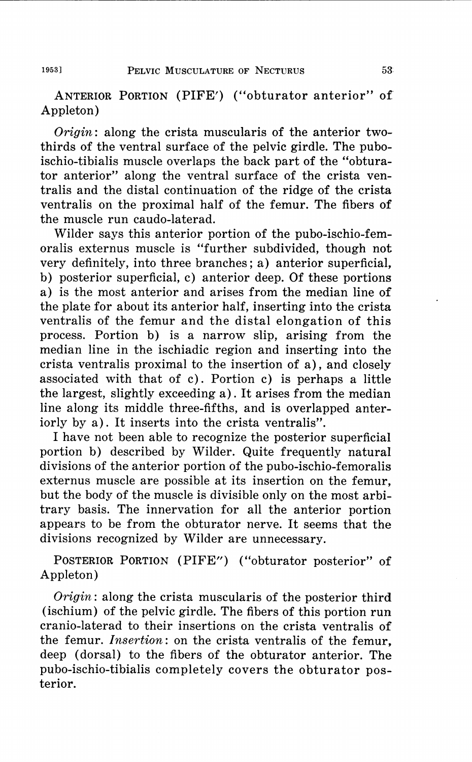ANTERIOR PORTION (PIFE') ("obturator anterior" of' Appleton)

*Origin:* along the crista muscularis of the anterior twothirds of the ventral surface of the pelvic girdle. The puboischio-tibialis muscle overlaps the back part of the "obturator anterior" along the ventral surface of the crista ventralis and the distal continuation of the ridge of the crista ventralis on the proximal half of the femur. The fibers of the muscle run caudo-laterad.

Wilder says this anterior portion of the pubo-ischio-femoralis externus muscle is "further subdivided, though not very definitely, into three branches; a) anterior superficial, b) posterior superficial, c) anterior deep. Of these portions a) is the most anterior and arises from the median line of the plate for about its anterior half, inserting into the crista ventralis of the femur and the distal elongation of this process. Portion b) is a narrow slip, arising from the median line in the ischiadic region and inserting into the crista ventralis proximal to the insertion of a), and closely associated with that of c). Portion c) is perhaps a little the largest, slightly exceeding a). It arises from the median line along its middle three-fifths, and is overlapped anteriorly by a). It inserts into the crista ventralis".

I have not been able to recognize the posterior superficial portion b) described by Wilder. Quite frequently natural divisions of the anterior portion of the pubo-ischio-femoralis externus muscle are possible at its insertion on the femur, but the body of the muscle is divisible only on the most arbitrary basis. The innervation for all the anterior portion appears to be from the obturator nerve. It seems that the divisions recognized by Wilder are unnecessary.

POSTERIOR PORTION (PIFE") ("obturator posterior" of Appleton)

*Origin:* along the crista muscularis of the posterior third (ischium) of the pelvic girdle. The fibers of this portion run cranio-laterad to their insertions on the crista ventralis of the femur. *Insertion:* on the crista ventralis of the femur, deep (dorsal) to the fibers of the obturator anterior. The pubo-ischio-tibialis completely covers the obturator posterior.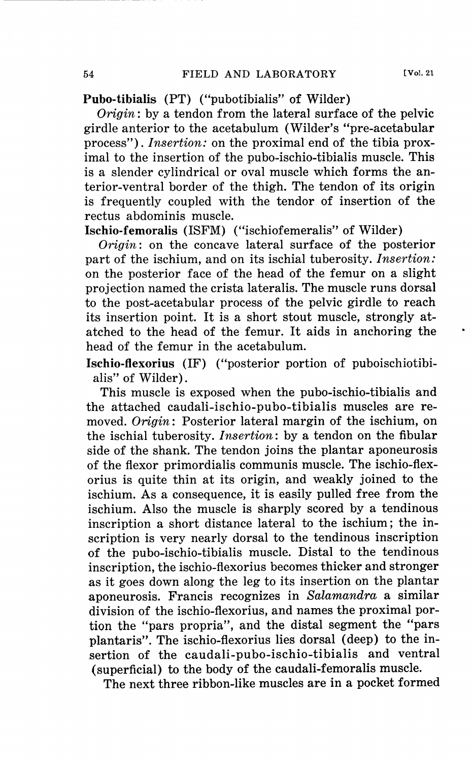**Pubo-tibialis** (PT) ("pubotibialis" of Wilder)

*Origin:* by a tendon from the lateral surface of the pelvic girdle anterior to the acetabulum (Wilder's "pre-acetabular process"). *Insertion:* on the proximal end of the tibia proximal to the insertion of the pubo-ischio-tibialis muscle. This is a slender cylindrical or oval muscle which forms the anterior-ventral border of the thigh. The tendon of its origin is frequently coupled with the tendor of insertion of the rectus abdominis muscle.

**Ischio-femoralis** (ISFM) ("ischiofemeralis" of Wilder)

*Origin:* on the concave lateral surface of the posterior part of the ischium, and on its ischial tuberosity. *Insertion:*  on the posterior face of the head of the femur on a slight projection named the crista lateralis. The muscle runs dorsal to the post-acetabular process of the pelvic girdle to reach its insertion point. It is a short stout muscle, strongly atatched to the head of the femur. It aids in anchoring the head of the femur in the acetabulum.

**Ischio-flexorius** (IF) ("posterior portion of puboischiotibialis" of Wilder).

This muscle is exposed when the pubo-ischio-tibialis and the attached caudali-ischio-pubo-tibialis muscles are removed. *Origin:* Posterior lateral margin of the ischium, on the ischial tuberosity. *Insertion:* by a tendon on the fibular side of the shank. The tendon joins the plantar aponeurosis of the flexor primordialis communis muscle. The ischio-flexorius is quite thin at its origin, and weakly joined to the ischium. As a consequence, it is easily pulled free from the ischium. Also the muscle is sharply scored by a tendinous inscription a short distance lateral to the ischium; the inscription is very nearly dorsal to the tendinous inscription of the pubo-ischio-tibialis muscle. Distal to the tendinous inscription, the ischio-flexorius becomes thicker and stronger as it goes down along the leg to its insertion on the plantar aponeurosis. Francis recognizes in *Salamandra* a similar division of the ischio-flexorius, and names the proximal portion the "pars propria", and the distal segment the "pars plantaris". The ischio-flexorius lies dorsal (deep) to the insertion of the caudali-pubo-ischio-tibialis and ventral (superficial) to the body of the caudali-femoralis muscle.

The next three ribbon-like muscles are in a pocket formed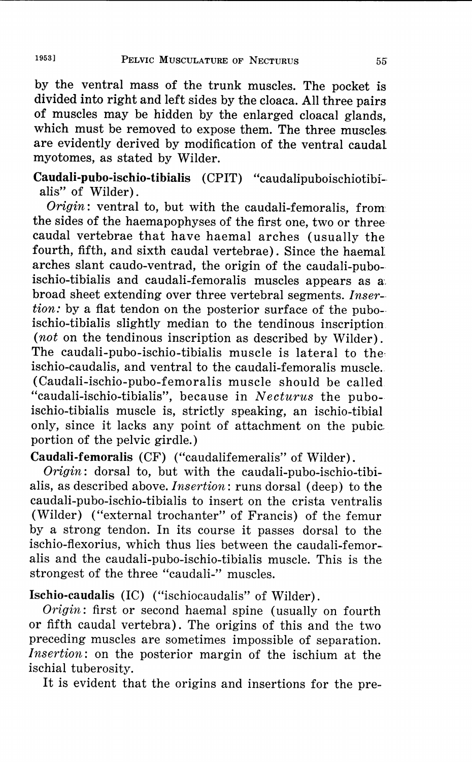by the ventral mass of the trunk muscles. The pocket is divided into right and left sides by the cloaca. All three pairs of muscles may be hidden by the enlarged cloacal glands, which must be removed to expose them. The three muscles are evidently derived by modification of the ventral caudal myotomes, as stated by Wilder.

**Caudali-pubo-ischio-tibialis** (CPIT) "caudalipuboischiotibi- alis" of Wilder).

*Origin:* ventral to, but with the caudali-femoralis, from the sides of the haemapophyses of the first one, two or three caudal vertebrae that have haemal arches (usually the fourth, fifth, and sixth caudal vertebrae). Since the haemal arches slant caudo-ventrad, the origin of the caudali-puboischio-tibialis and caudali-femoralis muscles appears as a. broad sheet extending over three vertebral segments. *Inser- tion:* by a flat tendon on the posterior surface of the pubo- ischio-tibialis slightly median to the tendinous inscription *(not* on the tendinous inscription as described by Wilder). The caudali-pubo-ischio-tibialis muscle is lateral to the, ischio-caudalis, and ventral to the caudali-femoralis muscle. (Caudali-ischio-pubo-femoralis muscle should be called "caudali-ischio-tibialis", because in *Necturus* the puboischio-tibialis muscle is, strictly speaking, an ischio-tibial only, since it lacks any point of attachment on the pubic; portion of the pelvic girdle.)

**Caudali-femoralis** (CF) ("caudalifemeralis" of Wilder).

*Origin:* dorsal to, but with the caudali-pubo-ischio-tibialis, as described above. *Insertion:* runs dorsal (deep) to the caudali-pubo-ischio-tibialis to insert on the crista ventralis (Wilder) ("external trochanter" of Francis) of the femur by a strong tendon. In its course it passes dorsal to the ischio-flexorius, which thus lies between the caudali-femoralis and the caudali-pubo-ischio-tibialis muscle. This is the strongest of the three "caudali-" muscles.

**Ischio-caudalis** (IC) ("ischiocaudalis" of Wilder).

*Origin:* first or second haemal spine (usually on fourth or fifth caudal vertebra). The origins of this and the two preceding muscles are sometimes impossible of separation. *Insertion:* on the posterior margin of the ischium at the ischial tuberosity.

It is evident that the origins and insertions for the pre-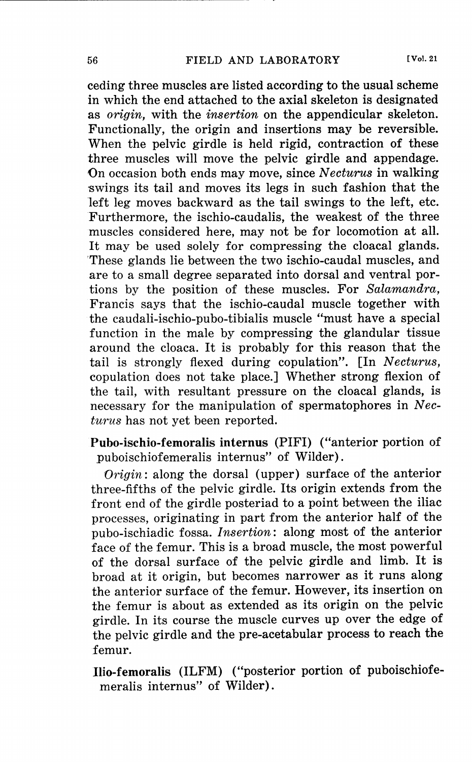ceding three muscles are listed according to the usual scheme in which the end attached to the axial skeleton is designated as *origin,* with the *insertion* on the appendicular skeleton. Functionally, the origin and insertions may be reversible. When the pelvic girdle is held rigid, contraction of these three muscles will move the pelvic girdle and appendage. On occasion both ends may move, since *N ecturus* in walking swings its tail and moves its legs in such fashion that the left leg moves backward as the tail swings to the left, etc. Furthermore, the ischio-caudalis, the weakest of the three muscles considered here, may not be for locomotion at all. It may be used solely for compressing the cloacal glands. 'These glands lie between the two ischio-caudal muscles, and are to a small degree separated into dorsal and ventral portions by the position of these muscles. For *Salamandra,*  Francis says that the ischio-caudal muscle together with the caudali-ischio-pubo-tibialis muscle "must have a special function in the male by compressing the glandular tissue around the cloaca. It is probably for this reason that the tail is strongly flexed during copulation". [In *Necturus,*  copulation does not take place.] Whether strong flexion of the tail, with resultant pressure on the cloacal glands, is necessary for the manipulation of spermatophores in *Necturus* has not yet been reported.

**Pubo-ischio-fernoralis internus** (PIFI) ("anterior portion of puboischiofemeralis internus" of Wilder).

*Origin:* along the dorsal (upper) surface of the anterior three-fifths of the pelvic girdle. Its origin extends from the front end of the girdle posteriad to a point between the iliac processes, originating in part from the anterior half of the pubo-ischiadic fossa. *Insertion:* along most of the anterior face of the femur. This is a broad muscle, the most powerful of the dorsal surface of the pelvic girdle and limb. It is broad at it origin, but becomes narrower as it runs along the anterior surface of the femur. However, its insertion on the femur is about as extended as its origin on the pelvic girdle. In its course the muscle curves up over the edge of the pelvic girdle and the pre-acetabular process to reach the femur.

**llio-fernoralis** (ILFM) ("posterior portion of puboischiofemeralis internus" of Wilder).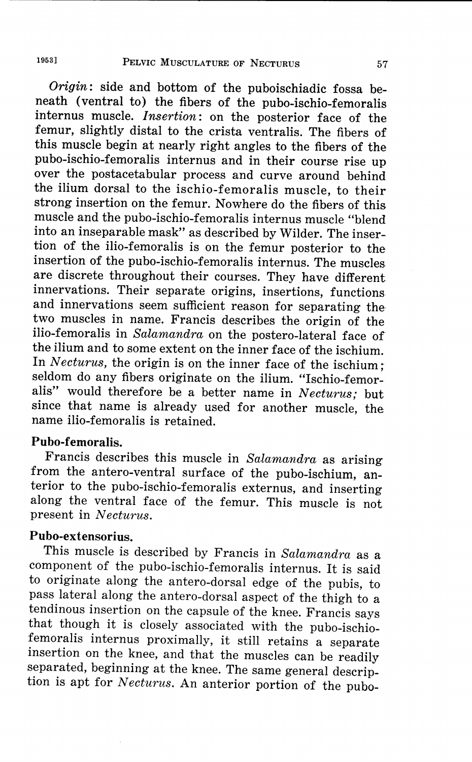*Origin:* side and bottom of the puboischiadic fossa beneath (ventral to) the fibers of the pubo-ischio-femoralis internus muscle. *Insertion:* on the posterior face of the femur, slightly distal to the crista ventralis. The fibers of this muscle begin at nearly right angles to the fibers of the pubo-ischio-femoralis internus and in their course rise up over the postacetabular process and curve around behind the ilium dorsal to the ischio-femoralis muscle, to their strong insertion on the femur. Nowhere do the fibers of this muscle and the pubo-ischio-femoralis internus muscle "blend into an inseparable mask" as described by Wilder. The insertion of the ilio-femoralis is on the femur posterior to the insertion of the pubo-ischio-femoralis internus. The muscles are discrete throughout their courses. They have different innervations. Their separate origins, insertions, functions and innervations seem sufficient reason for separating the two muscles in name. Francis describes the origin of the ilio-femoralis in *Salamandra* on the postero-lateral face of the ilium and to some extent on the inner face of the ischium. In *Necturus,* the origin is on the inner face of the ischium; seldom do any fibers originate on the ilium. "Ischio-femoralis" would therefore be a better name in *Necturus*; but since that name is already used for another muscle, the name ilio-femoralis is retained.

## **Pubo-femoralis.**

Francis describes this muscle in *Salamandra* as arising from the antero-ventral surface of the pubo-ischium, anterior to the pubo-ischio-femoralis externus, and inserting along the ventral face of the femur. This muscle is not present in *Necturus.* 

### **Pubo-extensorius.**

This muscle is described by Francis in *Salamandra* as a component of the pubo-ischio-femoralis internus. It is said to originate along the antero-dorsal edge of the pubis, to pass lateral along the antero-dorsal aspect of the thigh to a tendinous insertion on the capsule of the knee. Francis says that though it is closely associated with the pubo-ischiofemoralis internus proximally, it still retains a separate insertion on the knee, and that the muscles can be readily separated, beginning at the knee. The same general description is apt for *Necturus.* An anterior portion of the pubo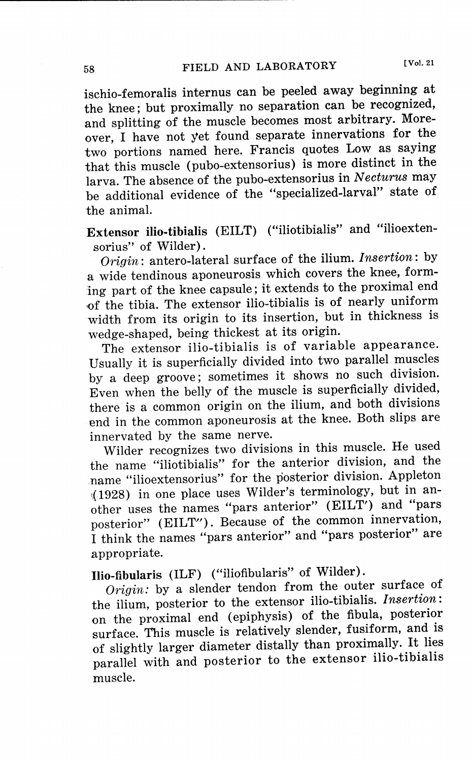the knee; but proximally no separation can be recognized, and splitting of the muscle becomes most arbitrary. Moreover, I have not yet found separate innervations for the two portions named here. Francis quotes Low as saying that this muscle (pubo-extensorius) is more distinct in the larva. The absence of the pubo-extensorius in *Necturus* may be additional evidence of the "specialized-larval" state of the animal.

**Extensor ilio-tibialis** (EILT) ("iliotibialis" and "ilioextensorius" of Wilder).

*Origin:* antero-lateral surface of the ilium. *Insertion:* by a wide tendinous aponeurosis which covers the knee, forming part of the knee capsule; it extends to the proximal end of the tibia. The extensor ilio-tibialis is of nearly uniform width from its origin to its insertion, but in thickness is wedge-shaped, being thickest at its origin.

The extensor ilio-tibialis is of variable appearance. Usually it is superficially divided into two parallel muscles by a deep groove; sometimes it shows no such division. Even when the belly of the muscle is superficially divided, there is a common origin on the ilium, and both divisions end in the common aponeurosis at the knee. Both slips are innervated by the same nerve.

Wilder recognizes two divisions in this muscle. He used the name "iliotibialis" for the anterior division, and the name "ilioextensorius" for the posterior division. Appleton ,;(1928) in one place uses Wilder's terminology, but in another uses the names "pars anterior" (EILT') and "pars posterior" (EILT"). Because of the common innervation, I think the names "pars anterior" and "pars posterior" are appropriate.

**Ilio-fibularis** (ILF) ("iliofibularis" of Wilder).

*Origin:* by a slender tendon from the outer surface of the ilium, posterior to the extensor ilio-tibialis. *Insertion:*  on the proximal end (epiphysis) of the fibula, posterior surface. This muscle is relatively slender, fusiform, and is of slightly larger diameter distally than proximally. It lies parallel with and posterior to the extensor ilio-tibialis muscle.